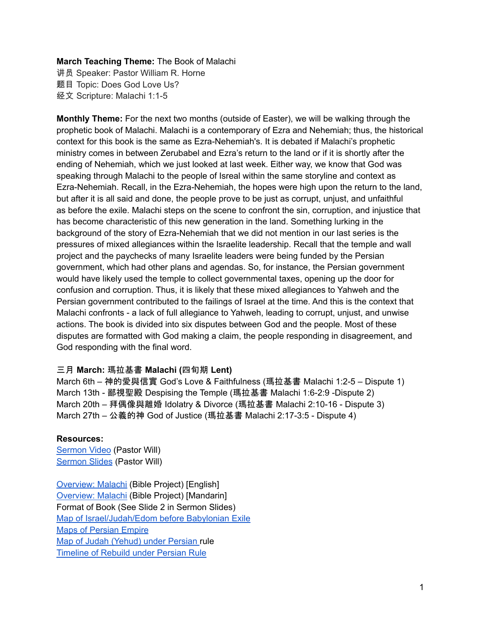# **March Teaching Theme:** The Book of Malachi

讲员 Speaker: Pastor William R. Horne 题目 Topic: Does God Love Us? 经文 Scripture: Malachi 1:1-5

**Monthly Theme:** For the next two months (outside of Easter), we will be walking through the prophetic book of Malachi. Malachi is a contemporary of Ezra and Nehemiah; thus, the historical context for this book is the same as Ezra-Nehemiah's. It is debated if Malachi's prophetic ministry comes in between Zerubabel and Ezra's return to the land or if it is shortly after the ending of Nehemiah, which we just looked at last week. Either way, we know that God was speaking through Malachi to the people of Isreal within the same storyline and context as Ezra-Nehemiah. Recall, in the Ezra-Nehemiah, the hopes were high upon the return to the land, but after it is all said and done, the people prove to be just as corrupt, unjust, and unfaithful as before the exile. Malachi steps on the scene to confront the sin, corruption, and injustice that has become characteristic of this new generation in the land. Something lurking in the background of the story of Ezra-Nehemiah that we did not mention in our last series is the pressures of mixed allegiances within the Israelite leadership. Recall that the temple and wall project and the paychecks of many Israelite leaders were being funded by the Persian government, which had other plans and agendas. So, for instance, the Persian government would have likely used the temple to collect governmental taxes, opening up the door for confusion and corruption. Thus, it is likely that these mixed allegiances to Yahweh and the Persian government contributed to the failings of Israel at the time. And this is the context that Malachi confronts - a lack of full allegiance to Yahweh, leading to corrupt, unjust, and unwise actions. The book is divided into six disputes between God and the people. Most of these disputes are formatted with God making a claim, the people responding in disagreement, and God responding with the final word.

## 三月 **March:** 瑪拉基書 **Malachi (**四旬期 **Lent)**

March 6th – 神的愛與信實 God's Love & Faithfulness (瑪拉基書 Malachi 1:2-5 – Dispute 1) March 13th - 鄙視聖殿 Despising the Temple (瑪拉基書 Malachi 1:6-2:9 -Dispute 2) March 20th – 拜偶像與離婚 Idolatry & Divorce (瑪拉基書 Malachi 2:10-16 - Dispute 3) March 27th – 公義的神 God of Justice (瑪拉基書 Malachi 2:17-3:5 - Dispute 4)

## **Resources:**

[Sermon](https://www.youtube.com/watch?v=06IM_01CSHY) Video (Pastor Will) [Sermon](https://docs.google.com/presentation/d/14wk5NDAJQab77Tr29KOaKjjUYF0jH8ijQIrjrD0HkRc/edit?usp=sharing) Slides (Pastor Will)

[Overview:](https://bibleproject.com/explore/video/malachi/) Malachi (Bible Project) [English] [Overview:](https://www.youtube.com/watch?v=8T57vKj-Ix8&list=PLE-R0uydm0uN0xKD3tw0aheiQojlf1JB1&index=29) Malachi (Bible Project) [Mandarin] Format of Book (See Slide 2 in Sermon Slides) Map of [Israel/Judah/Edom](https://docs.google.com/presentation/d/1tFqR--i8vR65UNcydtMDcN0P1IocObGP6zsQPzodJvg/edit?usp=sharing) before Babylonian Exile Maps of [Persian](https://docs.google.com/presentation/d/1etJFccQZX3MryDbRrS1s5n6bjpYFgUOYwQ4VQG_JuV4/edit?usp=sharing) Empire Map of Judah [\(Yehud\)](https://docs.google.com/presentation/d/1B-jPxAPFXvR-dkqLLivyckb0uZtp_PYXSNJsG_iepRA/edit?usp=sharing) under Persian rule [Timeline](https://docs.google.com/presentation/d/1pivSiquO322iIeBUBqD0yGXiqO8ft5FlPvqLRck4eek/edit?usp=sharing) of Rebuild under Persian Rule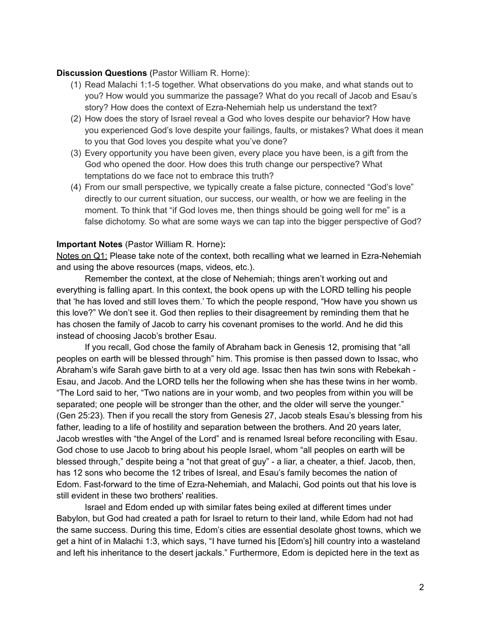#### **Discussion Questions** (Pastor William R. Horne):

- (1) Read Malachi 1:1-5 together. What observations do you make, and what stands out to you? How would you summarize the passage? What do you recall of Jacob and Esau's story? How does the context of Ezra-Nehemiah help us understand the text?
- (2) How does the story of Israel reveal a God who loves despite our behavior? How have you experienced God's love despite your failings, faults, or mistakes? What does it mean to you that God loves you despite what you've done?
- (3) Every opportunity you have been given, every place you have been, is a gift from the God who opened the door. How does this truth change our perspective? What temptations do we face not to embrace this truth?
- (4) From our small perspective, we typically create a false picture, connected "God's love" directly to our current situation, our success, our wealth, or how we are feeling in the moment. To think that "if God loves me, then things should be going well for me" is a false dichotomy. So what are some ways we can tap into the bigger perspective of God?

#### **Important Notes** (Pastor William R. Horne)**:**

Notes on Q1: Please take note of the context, both recalling what we learned in Ezra-Nehemiah and using the above resources (maps, videos, etc.).

Remember the context, at the close of Nehemiah; things aren't working out and everything is falling apart. In this context, the book opens up with the LORD telling his people that 'he has loved and still loves them.' To which the people respond, "How have you shown us this love?" We don't see it. God then replies to their disagreement by reminding them that he has chosen the family of Jacob to carry his covenant promises to the world. And he did this instead of choosing Jacob's brother Esau.

If you recall, God chose the family of Abraham back in Genesis 12, promising that "all peoples on earth will be blessed through" him. This promise is then passed down to Issac, who Abraham's wife Sarah gave birth to at a very old age. Issac then has twin sons with Rebekah - Esau, and Jacob. And the LORD tells her the following when she has these twins in her womb. "The Lord said to her, "Two nations are in your womb, and two peoples from within you will be separated; one people will be stronger than the other, and the older will serve the younger." (Gen 25:23). Then if you recall the story from Genesis 27, Jacob steals Esau's blessing from his father, leading to a life of hostility and separation between the brothers. And 20 years later, Jacob wrestles with "the Angel of the Lord" and is renamed Isreal before reconciling with Esau. God chose to use Jacob to bring about his people Israel, whom "all peoples on earth will be blessed through," despite being a "not that great of guy" - a liar, a cheater, a thief. Jacob, then, has 12 sons who become the 12 tribes of Isreal, and Esau's family becomes the nation of Edom. Fast-forward to the time of Ezra-Nehemiah, and Malachi, God points out that his love is still evident in these two brothers' realities.

Israel and Edom ended up with similar fates being exiled at different times under Babylon, but God had created a path for Israel to return to their land, while Edom had not had the same success. During this time, Edom's cities are essential desolate ghost towns, which we get a hint of in Malachi 1:3, which says, "I have turned his [Edom's] hill country into a wasteland and left his inheritance to the desert jackals." Furthermore, Edom is depicted here in the text as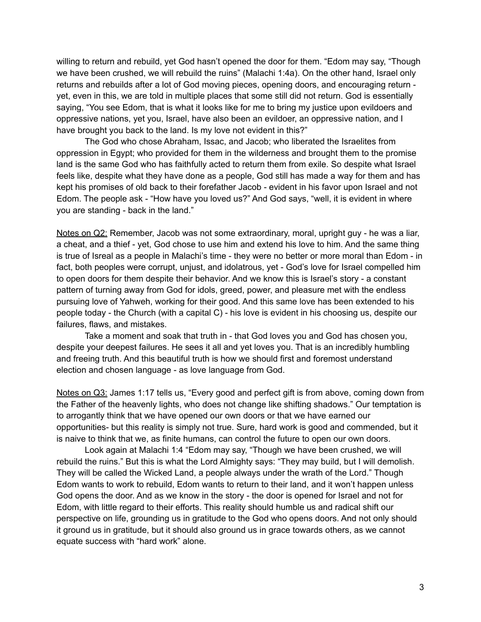willing to return and rebuild, yet God hasn't opened the door for them. "Edom may say, "Though we have been crushed, we will rebuild the ruins" (Malachi 1:4a). On the other hand, Israel only returns and rebuilds after a lot of God moving pieces, opening doors, and encouraging return yet, even in this, we are told in multiple places that some still did not return. God is essentially saying, "You see Edom, that is what it looks like for me to bring my justice upon evildoers and oppressive nations, yet you, Israel, have also been an evildoer, an oppressive nation, and I have brought you back to the land. Is my love not evident in this?"

The God who chose Abraham, Issac, and Jacob; who liberated the Israelites from oppression in Egypt; who provided for them in the wilderness and brought them to the promise land is the same God who has faithfully acted to return them from exile. So despite what Israel feels like, despite what they have done as a people, God still has made a way for them and has kept his promises of old back to their forefather Jacob - evident in his favor upon Israel and not Edom. The people ask - "How have you loved us?" And God says, "well, it is evident in where you are standing - back in the land."

Notes on Q2: Remember, Jacob was not some extraordinary, moral, upright guy - he was a liar, a cheat, and a thief - yet, God chose to use him and extend his love to him. And the same thing is true of Isreal as a people in Malachi's time - they were no better or more moral than Edom - in fact, both peoples were corrupt, unjust, and idolatrous, yet - God's love for Israel compelled him to open doors for them despite their behavior. And we know this is Israel's story - a constant pattern of turning away from God for idols, greed, power, and pleasure met with the endless pursuing love of Yahweh, working for their good. And this same love has been extended to his people today - the Church (with a capital C) - his love is evident in his choosing us, despite our failures, flaws, and mistakes.

Take a moment and soak that truth in - that God loves you and God has chosen you, despite your deepest failures. He sees it all and yet loves you. That is an incredibly humbling and freeing truth. And this beautiful truth is how we should first and foremost understand election and chosen language - as love language from God.

Notes on Q3: James 1:17 tells us, "Every good and perfect gift is from above, coming down from the Father of the heavenly lights, who does not change like shifting shadows." Our temptation is to arrogantly think that we have opened our own doors or that we have earned our opportunities- but this reality is simply not true. Sure, hard work is good and commended, but it is naive to think that we, as finite humans, can control the future to open our own doors.

Look again at Malachi 1:4 "Edom may say, "Though we have been crushed, we will rebuild the ruins." But this is what the Lord Almighty says: "They may build, but I will demolish. They will be called the Wicked Land, a people always under the wrath of the Lord." Though Edom wants to work to rebuild, Edom wants to return to their land, and it won't happen unless God opens the door. And as we know in the story - the door is opened for Israel and not for Edom, with little regard to their efforts. This reality should humble us and radical shift our perspective on life, grounding us in gratitude to the God who opens doors. And not only should it ground us in gratitude, but it should also ground us in grace towards others, as we cannot equate success with "hard work" alone.